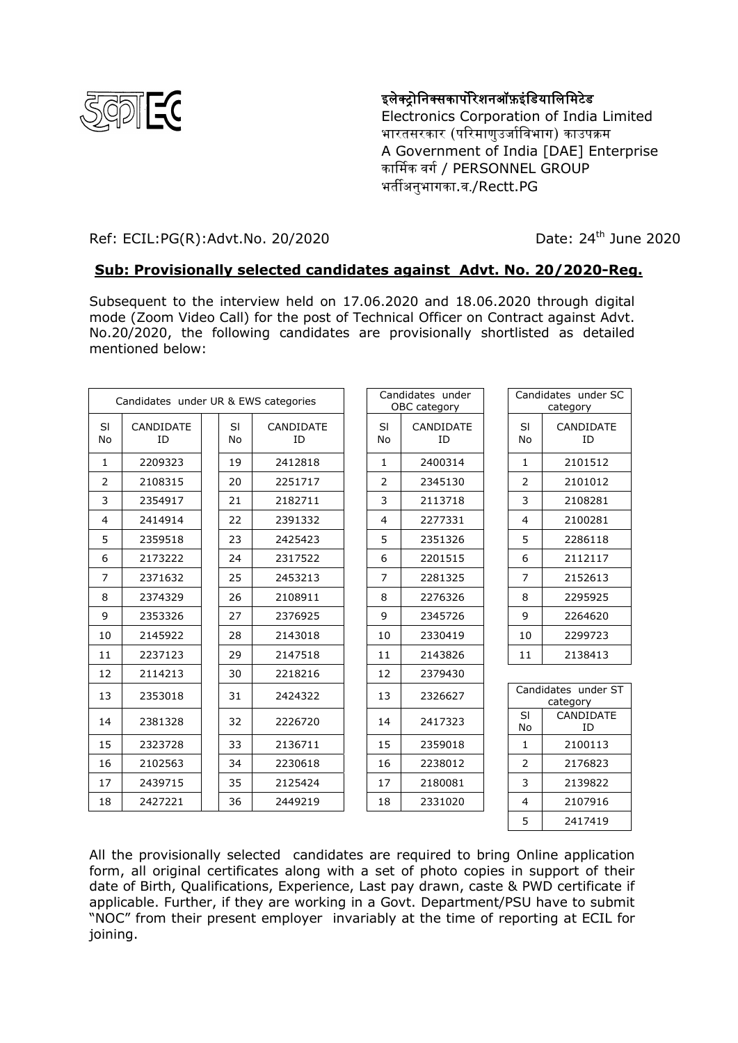

## इलेक्ट्रोनिक्सकार्पोरेशनऑफ़इंडियालिमिटेड

Electronics Corporation of India Limited भारतसरकार (परिमाणउर्जाविभाग) काउपक्रम A Government of India [DAE] Enterprise कार्मिक वर्ग / PERSONNEL GROUP भर्तीअनुभागका.व./Rectt.PG

## Ref: ECIL:PG(R):Advt.No. 20/2020 Date: 24<sup>th</sup> June 2020

## **Sub: Provisionally selected candidates against Advt. No. 20/2020-Reg.**

Subsequent to the interview held on 17.06.2020 and 18.06.2020 through digital mode (Zoom Video Call) for the post of Technical Officer on Contract against Advt. No.20/2020, the following candidates are provisionally shortlisted as detailed mentioned below:

| Candidates under UR & EWS categories |                 |  |                 |                 | Candidates under<br>OBC category |                 | Candidates under SC<br>category |                 |
|--------------------------------------|-----------------|--|-----------------|-----------------|----------------------------------|-----------------|---------------------------------|-----------------|
| SI<br>No                             | CANDIDATE<br>ID |  | <b>SI</b><br>No | CANDIDATE<br>ID | SI<br>No                         | CANDIDATE<br>ID | <b>SI</b><br>No                 | CANDIDATE<br>ID |
| $\mathbf{1}$                         | 2209323         |  | 19              | 2412818         | $\mathbf{1}$                     | 2400314         | $\mathbf{1}$                    | 2101512         |
| 2                                    | 2108315         |  | 20              | 2251717         | 2                                | 2345130         | $\overline{2}$                  | 2101012         |
| 3                                    | 2354917         |  | 21              | 2182711         | 3                                | 2113718         | 3                               | 2108281         |
| $\overline{4}$                       | 2414914         |  | 22              | 2391332         | $\overline{4}$                   | 2277331         | $\overline{4}$                  | 2100281         |
| 5                                    | 2359518         |  | 23              | 2425423         | 5                                | 2351326         | 5                               | 2286118         |
| 6                                    | 2173222         |  | 24              | 2317522         | 6                                | 2201515         | 6                               | 2112117         |
| $\overline{7}$                       | 2371632         |  | 25              | 2453213         | $\overline{7}$                   | 2281325         | $\overline{7}$                  | 2152613         |
| 8                                    | 2374329         |  | 26              | 2108911         | 8                                | 2276326         | 8                               | 2295925         |
| 9                                    | 2353326         |  | 27              | 2376925         | 9                                | 2345726         | 9                               | 2264620         |
| 10                                   | 2145922         |  | 28              | 2143018         | 10                               | 2330419         | 10                              | 2299723         |
| 11                                   | 2237123         |  | 29              | 2147518         | 11                               | 2143826         | 11                              | 2138413         |
| 12                                   | 2114213         |  | 30              | 2218216         | 12                               | 2379430         |                                 |                 |
| 13                                   | 2353018         |  | 31              | 2424322         | 13                               | 2326627         | Candidates under ST<br>category |                 |
| 14                                   | 2381328         |  | 32              | 2226720         | 14                               | 2417323         | <b>SI</b><br><b>No</b>          | CANDIDATE<br>ID |
| 15                                   | 2323728         |  | 33              | 2136711         | 15                               | 2359018         | $\mathbf{1}$                    | 2100113         |
| 16                                   | 2102563         |  | 34              | 2230618         | 16                               | 2238012         | 2                               | 2176823         |
| 17                                   | 2439715         |  | 35              | 2125424         | 17                               | 2180081         | 3                               | 2139822         |
| 18                                   | 2427221         |  | 36              | 2449219         | 18                               | 2331020         | 4                               | 2107916         |
|                                      |                 |  |                 |                 |                                  |                 | 5                               | 2417419         |

All the provisionally selected candidates are required to bring Online application form, all original certificates along with a set of photo copies in support of their date of Birth, Qualifications, Experience, Last pay drawn, caste & PWD certificate if applicable. Further, if they are working in a Govt. Department/PSU have to submit "NOC" from their present employer invariably at the time of reporting at ECIL for joining.